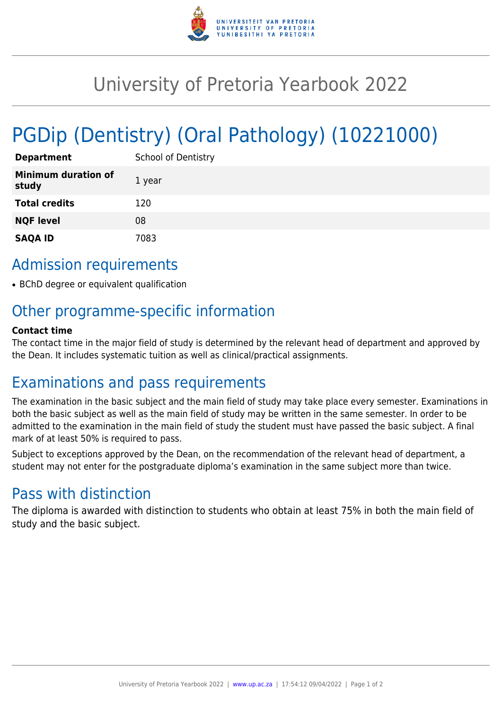

# University of Pretoria Yearbook 2022

# PGDip (Dentistry) (Oral Pathology) (10221000)

| <b>Department</b>                   | <b>School of Dentistry</b> |
|-------------------------------------|----------------------------|
| <b>Minimum duration of</b><br>study | 1 year                     |
| <b>Total credits</b>                | 120                        |
| <b>NQF level</b>                    | 08                         |
| <b>SAQA ID</b>                      | 7083                       |

## Admission requirements

• BChD degree or equivalent qualification

## Other programme-specific information

#### **Contact time**

The contact time in the major field of study is determined by the relevant head of department and approved by the Dean. It includes systematic tuition as well as clinical/practical assignments.

### Examinations and pass requirements

The examination in the basic subject and the main field of study may take place every semester. Examinations in both the basic subject as well as the main field of study may be written in the same semester. In order to be admitted to the examination in the main field of study the student must have passed the basic subject. A final mark of at least 50% is required to pass.

Subject to exceptions approved by the Dean, on the recommendation of the relevant head of department, a student may not enter for the postgraduate diploma's examination in the same subject more than twice.

### Pass with distinction

The diploma is awarded with distinction to students who obtain at least 75% in both the main field of study and the basic subject.